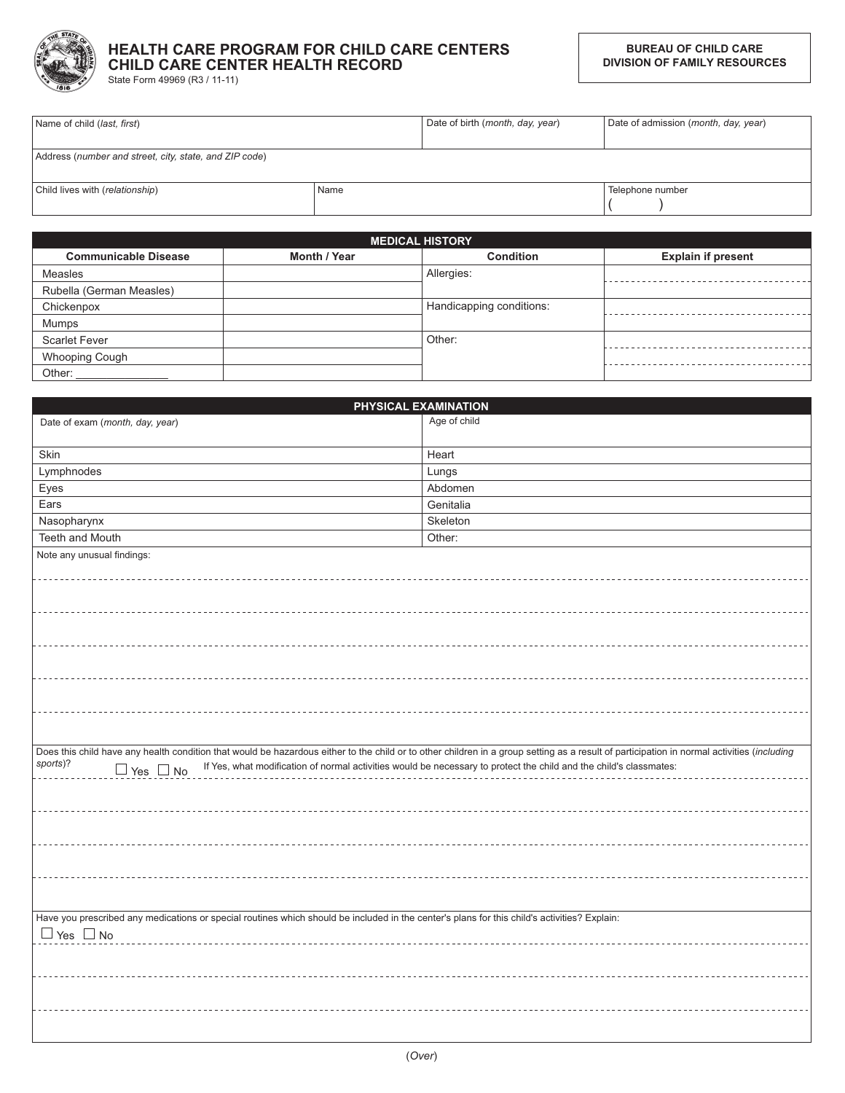

## HEALTH CARE PROGRAM FOR CHILD CARE CENTERS CHILD CARE CENTER HEALTH RECORD

State Form 49969 (R3 / 11-11)

| Name of child ( <i>last, first</i> )                   |      | Date of birth (month, day, year) | Date of admission (month, day, year) |
|--------------------------------------------------------|------|----------------------------------|--------------------------------------|
|                                                        |      |                                  |                                      |
| Address (number and street, city, state, and ZIP code) |      |                                  |                                      |
|                                                        |      |                                  |                                      |
| Child lives with (relationship)                        | Name |                                  | Felephone number                     |
|                                                        |      |                                  |                                      |

|                             |              | <b>MEDICAL HISTORY</b>   |                           |
|-----------------------------|--------------|--------------------------|---------------------------|
| <b>Communicable Disease</b> | Month / Year | <b>Condition</b>         | <b>Explain if present</b> |
| Measles                     |              | Allergies:               |                           |
| Rubella (German Measles)    |              |                          |                           |
| Chickenpox                  |              | Handicapping conditions: |                           |
| Mumps                       |              |                          |                           |
| <b>Scarlet Fever</b>        |              | Other:                   |                           |
| <b>Whooping Cough</b>       |              |                          |                           |
| Other:                      |              |                          |                           |

|                                                                                                                                                                                            | PHYSICAL EXAMINATION |
|--------------------------------------------------------------------------------------------------------------------------------------------------------------------------------------------|----------------------|
| Date of exam (month, day, year)                                                                                                                                                            | Age of child         |
|                                                                                                                                                                                            |                      |
| Skin                                                                                                                                                                                       | Heart                |
| Lymphnodes                                                                                                                                                                                 | Lungs                |
| Eyes                                                                                                                                                                                       | Abdomen              |
| Ears                                                                                                                                                                                       | Genitalia            |
| Nasopharynx                                                                                                                                                                                | Skeleton             |
| Teeth and Mouth                                                                                                                                                                            | Other:               |
| Note any unusual findings:                                                                                                                                                                 |                      |
|                                                                                                                                                                                            |                      |
|                                                                                                                                                                                            |                      |
|                                                                                                                                                                                            |                      |
|                                                                                                                                                                                            |                      |
|                                                                                                                                                                                            |                      |
|                                                                                                                                                                                            |                      |
|                                                                                                                                                                                            |                      |
|                                                                                                                                                                                            |                      |
|                                                                                                                                                                                            |                      |
|                                                                                                                                                                                            |                      |
|                                                                                                                                                                                            |                      |
| Does this child have any health condition that would be hazardous either to the child or to other children in a group setting as a result of participation in normal activities (including |                      |
| sports)?<br>The State of the State of Technical Contract of normal activities would be necessary to protect the child and the child's classmates:                                          |                      |
|                                                                                                                                                                                            |                      |
|                                                                                                                                                                                            |                      |
|                                                                                                                                                                                            |                      |
|                                                                                                                                                                                            |                      |
|                                                                                                                                                                                            |                      |
|                                                                                                                                                                                            |                      |
|                                                                                                                                                                                            |                      |
|                                                                                                                                                                                            |                      |
| Have you prescribed any medications or special routines which should be included in the center's plans for this child's activities? Explain:                                               |                      |
| $\Box$ Yes $\Box$ No                                                                                                                                                                       |                      |
|                                                                                                                                                                                            |                      |
|                                                                                                                                                                                            |                      |
|                                                                                                                                                                                            |                      |
|                                                                                                                                                                                            |                      |
|                                                                                                                                                                                            |                      |
|                                                                                                                                                                                            |                      |